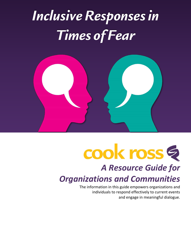# *Inclusive Responses in Times of Fear*



# cook ross

# *A Resource Guide for Organizations and Communities*

The information in this guide empowers organizations and individuals to respond effectively to current events and engage in meaningful dialogue.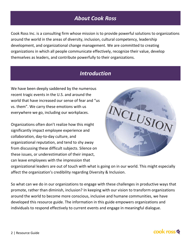# *About Cook Ross*

Cook Ross Inc. is a consulting firm whose mission is to provide powerful solutions to organizations around the world in the areas of diversity, inclusion, cultural competency, leadership development, and organizational change management. We are committed to creating organizations in which all people communicate effectively, recognize their value, develop themselves as leaders, and contribute powerfully to their organizations.

# *Introduction*

We have been deeply saddened by the numerous recent tragic events in the U.S. and around the world that have increased our sense of fear and "us vs. them". We carry these emotions with us everywhere we go, including our workplaces.

Organizations often don't realize how this might significantly impact employee experience and collaboration, day-to-day culture, and organizational reputation, and tend to shy away from discussing these difficult subjects. Silence on these issues, or underestimation of their impact, can leave employees with the impression that



organizational leaders are out of touch with what is going on in our world. This might especially affect the organization's credibility regarding Diversity & Inclusion.

So what can we do in our organizations to engage with these challenges in productive ways that promote, rather than diminish, inclusion? In keeping with our vision to transform organizations around the world to become more conscious, inclusive and humane communities, we have developed this resource guide. The information in this guide empowers organizations and individuals to respond effectively to current events and engage in meaningful dialogue.

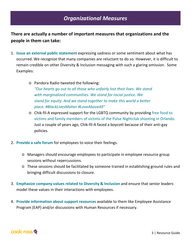# *Organizational Measures*

#### **There are actually a number of important measures that organizations and the people in them can take:**

- 1. **Issue an external public statement** expressing sadness or some sentiment about what has occurred. We recognize that many companies are reluctant to do so. However, it is difficult to remain credible on other Diversity & Inclusion messaging with such a glaring omission. Some Examples:
	- o Pandora Radio tweeted the following: *"Our hearts go out to all those who unfairly lost their lives. We stand with marginalized communities. We stand for racial justice. We stand for equity. And we stand together to make this world a better place. #BlackLivesMatter #LoveAboveAll"*
	- o Chik-fil-A expressed support for the LGBTQ community by providing free food to victims and family members of victims of the Pulse Nightclub shooting in Orlando. Just a couple of years ago, Chik-fil-A faced a boycott because of their anti-gay policies.
- 2. **Provide a safe forum** for employees to voice their feelings.
	- o Managers should encourage employees to participate in employee resource group sessions without repercussions.
	- o These sessions should be facilitated by someone trained in establishing ground rules and bringing difficult discussions to closure.
- 3. **Emphasize company values related to Diversity & Inclusion** and ensure that senior leaders model these values in their interactions with employees.
- 4. **Provide information about support resources** available to them like Employee Assistance Program (EAP) and/or discussions with Human Resources if necessary.

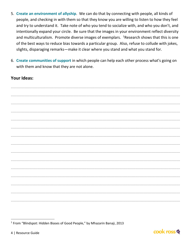- 5. Create an environment of allyship. We can do that by connecting with people, all kinds of people, and checking in with them so that they know you are willing to listen to how they feel and try to understand it. Take note of who you tend to socialize with, and who you don't, and intentionally expand your circle. Be sure that the images in your environment reflect diversity and multiculturalism. Promote diverse images of exemplars. <sup>1</sup>Research shows that this is one of the best ways to reduce bias towards a particular group. Also, refuse to collude with jokes, slights, disparaging remarks—make it clear where you stand and what you stand for.
- 6. Create communities of support in which people can help each other process what's going on with them and know that they are not alone.

#### **Your Ideas:**



<span id="page-3-0"></span><sup>&</sup>lt;sup>1</sup> From "Blindspot: Hidden Biases of Good People," by Mhazarin Banaji, 2013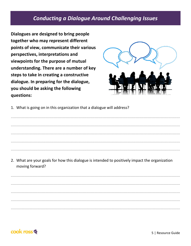### **Conducting a Dialogue Around Challenging Issues**

Dialogues are designed to bring people together who may represent different points of view, communicate their various perspectives, interpretations and viewpoints for the purpose of mutual understanding. There are a number of key steps to take in creating a constructive dialogue. In preparing for the dialogue, you should be asking the following questions:



1. What is going on in this organization that a dialogue will address?

2. What are your goals for how this dialogue is intended to positively impact the organization moving forward?

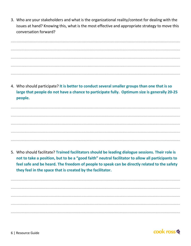3. Who are your stakeholders and what is the organizational reality/context for dealing with the issues at hand? Knowing this, what is the most effective and appropriate strategy to move this conversation forward?

4. Who should participate? It is better to conduct several smaller groups than one that is so large that people do not have a chance to participate fully. Optimum size is generally 20-25 people.

5. Who should facilitate? Trained facilitators should be leading dialogue sessions. Their role is not to take a position, but to be a "good faith" neutral facilitator to allow all participants to feel safe and be heard. The freedom of people to speak can be directly related to the safety they feel in the space that is created by the facilitator.

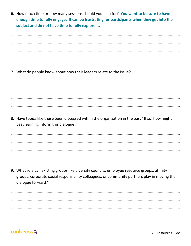6. How much time or how many sessions should you plan for? You want to be sure to have enough time to fully engage. It can be frustrating for participants when they get into the subject and do not have time to fully explore it.

7. What do people know about how their leaders relate to the issue? 8. Have topics like these been discussed within the organization in the past? If so, how might past learning inform this dialogue? 9. What role can existing groups like diversity councils, employee resource groups, affinity groups, corporate social responsibility colleagues, or community partners play in moving the



dialogue forward?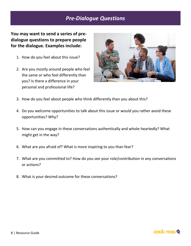# *Pre-Dialogue Questions*

**You may want to send a series of predialogue questions to prepare people for the dialogue. Examples include:**

- 1. How do you feel about this issue?
- 2. Are you mostly around people who feel the same or who feel differently than you? Is there a difference in your personal and professional life?



- 3. How do you feel about people who think differently than you about this?
- 4. Do you welcome opportunities to talk about this issue or would you rather avoid these opportunities? Why?
- 5. How can you engage in these conversations authentically and whole-heartedly? What might get in the way?
- 6. What are you afraid of? What is more inspiring to you than fear?
- 7. What are you committed to? How do you see your role/contribution in any conversations or actions?
- 8. What is your desired outcome for these conversations?

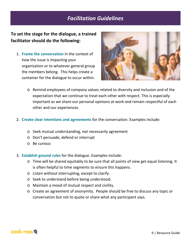### *Facilitation Guidelines*

#### **To set the stage for the dialogue, a trained facilitator should do the following:**

1. **Frame the conversation** in the context of how the issue is impacting your organization or to whatever general group the members belong. This helps create a container for the dialogue to occur within.



- o Remind employees of company values related to diversity and inclusion and of the expectation that we continue to treat each other with respect. This is especially important as we share our personal opinions at work and remain respectful of each other and our experiences.
- 2. **Create clear intentions and agreements** for the conversation. Examples include:
	- o Seek mutual understanding, not necessarily agreement
	- o Don't persuade, defend or interrupt
	- o Be curious
- 3. **Establish ground rules** for the dialogue. Examples include:
	- o Time will be shared equitably to be sure that all points of view get equal listening. It is often helpful to time segments to ensure this happens.
	- o Listen without interrupting, except to clarify.
	- o Seek to understand before being understood.
	- o Maintain a mood of mutual respect and civility.
	- o Create an agreement of anonymity. People should be free to discuss any topic or conversation but not to quote or share what any participant says.